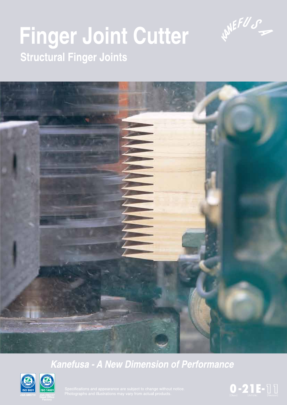

# **Finger Joint Cutter Structural Finger Joints**



### **Kanefusa - A New Dimension of Performance**



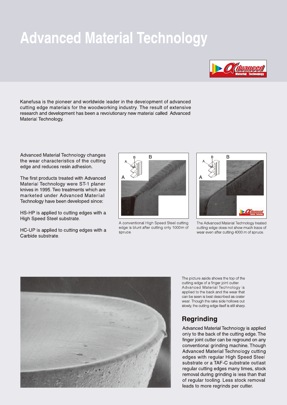### **Advanced Material Technology**



Kanefusa is the pioneer and worldwide leader in the development of advanced cutting edge materials for the woodworking industry. The result of extensive research and development has been a revolutionary new material called Advanced Material Technology.

Advanced Material Technology changes the wear characteristics of the cutting edge and reduces resin adhesion.

The first products treated with Advanced Material Technology were ST-1 planer knives in 1995. Two treatments which are marketed under Advanced Material Technology have been developed since:

HS-HP is applied to cutting edges with a High Speed Steel substrate.

HC-UP is applied to cutting edges with a Carbide substrate.



A conventional High Speed Steel cutting edge is blunt after cutting only 1000m of spruce.



The Advanced Material Technology treated cutting edge does not show much trace of wear even after cutting 4000 m of spruce.



The picture aside shows the top of the cutting edge of a finger joint cutter. Advanced Material Technology is applied to the back and the wear that can be seen is best described as crater wear. Though the rake side hollows out slowly, the cutting edge itself is still sharp.

#### **Regrinding**

Advanced Material Technology is applied only to the back of the cutting edge. The finger joint cutter can be reground on any conventional grinding machine. Though Advanced Material Technology cutting edges with regular High Speed Steel substrate or a TAF-C substrate outlast regular cutting edges many times, stock removal during grinding is less than that of regular tooling. Less stock removal leads to more regrinds per cutter.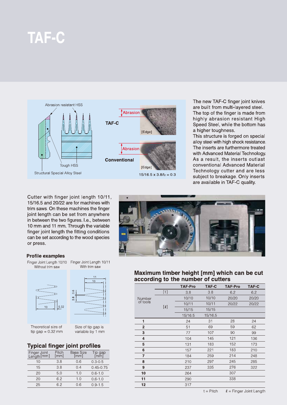### **TAF-C**



The new TAF-C finger joint knives are built from multi-layered steel. The top of the finger is made from highly abrasion resistant High Speed Steel, while the bottom has a higher toughness.

This structure is forged on special alloy steel with high shock resistance. The inserts are furthermore treated with Advanced Material Technology. As a result, the inserts outlast conventional Advanced Material Technology cutter and are less subject to breakage. Only inserts are available in TAF-C quality.

Cutter with finger joint length 10/11, 15/16.5 and 20/22 are for machines with trim saws. On these machines the finger joint length can be set from anywhere in between the two figures. I.e., between 10 mm and 11 mm. Through the variable finger joint length the fitting conditions can be set according to the wood species or press.

#### **Profile examples**



Theoretical size of tip gap =  $0.32$  mm

Size of tip gap is variable by 1 mm

#### **Typical finger joint profiles**

| Finger Joint<br>Length [mm] | Pitch<br>[mm] | <b>Base Size</b><br>[mm] | ïp gap<br>[mm] |
|-----------------------------|---------------|--------------------------|----------------|
| 10                          | 3.8           | 0.6                      | $0.3 - 0.5$    |
| 15                          | 3.8           | 0.4                      | $0.45 - 0.75$  |
| 20                          | 5.0           | 1.0                      | $0.6 - 1.0$    |
| 20                          | 6.2           | 1.0                      | $0.6 - 1.0$    |
| 25                          | 6.2           | 0.6                      | $0.9 - 1.5$    |



#### Maximum timber height [mm] which can be cut according to the number of cutters

|          |          | <b>TAF-Pro</b> | <b>TAF-C</b> | <b>TAF-Pro</b> | TAF-C |
|----------|----------|----------------|--------------|----------------|-------|
|          | [t]      | 3.8            | 3.8          | 6.2            | 6.2   |
| Number   |          | 10/10          | 10/10        | 20/20          | 20/20 |
| of tools |          | 10/11          | 10/11        | 20/22          | 20/22 |
|          | $[\ell]$ | 15/15          | 15/15        |                |       |
|          |          | 15/16.5        | 15/16.5      |                |       |
| 1        |          | 24             | 31           | 28             | 24    |
| 2        |          | 51             | 69           | 59             | 62    |
| 3        |          | 77             | 107          | 90             | 99    |
| 4        |          | 104            | 145          | 121            | 136   |
| 5        |          | 131            | 183          | 152            | 173   |
| 6        |          | 157            | 221          | 183            | 210   |
| 7        |          | 184            | 259          | 214            | 248   |
| 8        |          | 210            | 297          | 245            | 285   |
| 9        |          | 237            | 335          | 276            | 322   |
| 10       |          | 264            |              | 307            |       |
| 11       |          | 290            |              | 338            |       |
| 12       |          | 317            |              |                |       |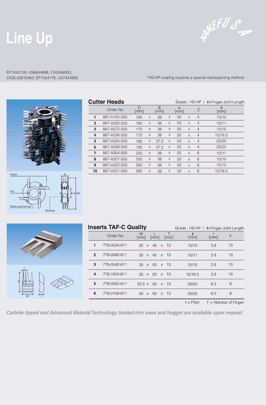## Line Up

WHEFUS

### EP1043129, US6644896, CA2456953,

CNZL02815463, EP1424176, US7424900 **\*HS-HP** coating requires a special resharpening method

| Insert<br>Pin | $\circledcirc$ | Ŕ<br>≒<br>Ш |
|---------------|----------------|-------------|

|                | <b>Cutter Heads</b> |                         |   |           |   | Grade: HS-HP / $\ell$ =Finger Joint Length |          |                |                            |
|----------------|---------------------|-------------------------|---|-----------|---|--------------------------------------------|----------|----------------|----------------------------|
|                | Order No.           | D<br>$\lceil mm \rceil$ |   | B<br>[mm] |   | d<br>[mm]                                  |          | Ζ              | l.<br>$\lceil$ mm $\rceil$ |
| 1              | 887-A105-500        | 160                     | X | 38        | X | 50                                         | $\times$ | $\overline{4}$ | 10/10                      |
| $\overline{2}$ | 887-A020-500        | 160                     | X | 38        | X | 50                                         | $\times$ | $\overline{4}$ | 10/11                      |
| 3              | 887-A072-500        | 170                     | X | 38        | X | 50                                         | $\times$ | $\overline{4}$ | 15/15                      |
| 4              | 887-A036-500        | 170                     | X | 38        | Χ | 50                                         | $\times$ | $\overline{4}$ | 15/16.5                    |
| 5              | 887-A025-500        | 180                     | X | 37.2      | X | 50                                         | $\times$ | $\overline{4}$ | 20/20                      |
| 6              | 887-A038-500        | 180                     | X | 37.2      | X | 50                                         | $\times$ | $\overline{4}$ | 20/22                      |
| 7              | 887-A004-500        | 250                     | X | 38        | X | 50                                         | $\times$ | 6              | 10/11                      |
| 8              | 887-A207-500        | 250                     | X | 38        | X | 50                                         | $\times$ | 6              | 10/10                      |
| 9              | 887-A022-500        | 260                     | X | 38        | X | 50                                         | $\times$ | 6              | 15/15                      |
| 10             | 887-A021-500        | 260                     | X | 38        | X | 50                                         | X        | 6              | 15/16.5                    |
|                |                     |                         |   |           |   |                                            |          |                |                            |

| $\ell$<br>Ń |  |
|-------------|--|

Side positioning

|                | <b>Inserts TAF-C Quality</b> |                                              | Grade: HS-HP / $\ell$ =Finger Joint Length |      |    |
|----------------|------------------------------|----------------------------------------------|--------------------------------------------|------|----|
|                | Order No.                    | W<br>$\lceil$ mm $\rceil$<br>[mm]<br>[mm]    | l.<br>[mm]                                 | [mm] | F  |
| 1              | 779-0034-611                 | -13<br>45 x<br>$35 \times$                   | 10/10                                      | 3.8  | 10 |
| $\overline{2}$ | 779-0068-611                 | $35 \times 45 \times 13$                     | 10/11                                      | 3.8  | 10 |
| 3              | 779-0042-611                 | - 13<br>50<br>35<br>$\times$<br>$\mathsf{X}$ | 15/15                                      | 3.8  | 10 |
| 4              | 779-1503-611                 | - 13<br>35<br>50<br>$\times$<br>$\times$     | 15/16.5                                    | 38   | 10 |
| 5              | 779-0050-611                 | - 13<br>$32.5 \times$<br>55<br>$\times$      | 20/20                                      | 6.2  | 6  |
| 6              | 779-0109-611                 | - 13<br>55<br>30<br>$\mathsf{X}$<br>$\times$ | 20/22                                      | 6.0  | 6  |
|                |                              |                                              |                                            |      |    |

 $t = Pitch$   $F = Number of Finger$ 

Carbide tipped and Advanced Material Technology treated trim saws and hogger are available upon request